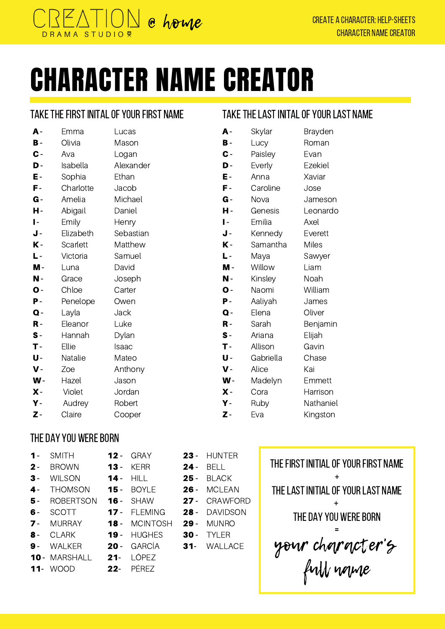

# CHARACTER NAME CREATOR

#### TAKE THE FIRST INITAL OF YOUR FIRST NAME

| A -            | Emma      | Lucas     |
|----------------|-----------|-----------|
| в-             | Olivia    | Mason     |
| $\mathbf{C}$ - | Ava       | Logan     |
| D-             | Isabella  | Alexander |
| Ε-             | Sophia    | Ethan     |
| F-             | Charlotte | Jacob     |
| $G -$          | Amelia    | Michael   |
| н-             | Abigail   | Daniel    |
| $\mathbf{I}$   | Emily     | Henry     |
| J-             | Elizabeth | Sebastian |
| K-             | Scarlett  | Matthew   |
| L-             | Victoria  | Samuel    |
| M -            | Luna      | David     |
| Ν-             | Grace     | Joseph    |
|                |           |           |
| $\mathbf{O}$ - | Chloe     | Carter    |
| Р-             | Penelope  | Owen      |
| $\mathbf Q$ -  | Layla     | Jack      |
| R -            | Eleanor   | Luke      |
| $s-$           | Hannah    | Dylan     |
| T-             | Ellie     | Isaac     |
| U-             | Natalie   | Mateo     |
| $\mathbf v$ -  | Zoe       | Anthony   |
| $\mathbf{W}$ - | Hazel     | Jason     |
| $\mathsf{X}$ - | Violet    | Jordan    |
| γ.             | Audrey    | Robert    |

### TAKE THE LAST INITAL OF YOUR LAST NAME

| A -            | Skylar    | Brayden   |
|----------------|-----------|-----------|
| $B -$          | Lucy      | Roman     |
| $\mathbf{C}$ - | Paisley   | Evan      |
| D-             | Everly    | Ezekiel   |
| Ε-             | Anna      | Xaviar    |
| F-             | Caroline  | Jose      |
| $G -$          | Nova      | Jameson   |
| н-             | Genesis   | Leonardo  |
| $\overline{ }$ | Emilia    | Axel      |
| J-             | Kennedy   | Everett   |
| $K -$          | Samantha  | Miles     |
| L-             | Maya      | Sawyer    |
| M -            | Willow    | Liam      |
| N -            | Kinsley   | Noah      |
| $\mathbf{O}$ - | Naomi     | William   |
| Р-             | Aaliyah   | James     |
| $\mathbf Q$ -  | Elena     | Oliver    |
| $\mathbf R$ -  | Sarah     | Benjamin  |
| $s-$           | Ariana    | Elijah    |
| T-             | Allison   | Gavin     |
| U-             | Gabriella | Chase     |
| $\mathbf V$ -  | Alice     | Kai       |
| $\mathbf{W}$ - | Madelyn   | Emmett    |
| $\mathbf X$ -  | Cora      | Harrison  |
| γ.             | Ruby      | Nathaniel |
| $\mathbf{z}$ - | Eva       | Kingston  |

#### THE DAY YOU WERE BORN

SMITH  $1 -$ 

 $2 -$ 

- BROWN
- WILSON  $3 -$
- THOMSON  $4 -$
- ROBERTSON 5 -
- SCOTT 6 -
- MURRAY  $7 -$
- CLARK 8 -
- WALKER 9 -
- 10- MARSHALL 21- LÓPEZ

**12**- GRAY

KERR HILL BOYLE SHAW FLEMING MCINTOSH

**19** - HUGHES 20 - GARCÍA

 $13 14 15 -$ 16 -  $17 18 -$ 

**11**- WOOD 22- PÉREZ

- 23 HUNTER
- $24 -$ BELL
	- 25- BLACK
		- 26 MCLEAN
		- 27 CRAWFORD
		- 28- DAVIDSON
	- 29 30 - TYLER MUNRO
	- 31- WALLACE

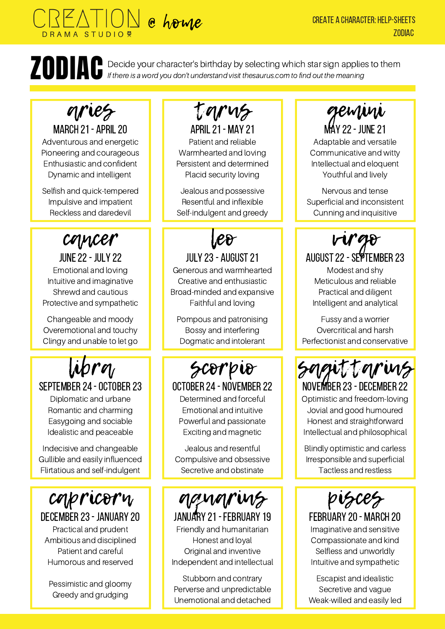### @ home DRAMA STUDIO<sup>?</sup>

#### CREATE A CHARACTER: HELP-SHEETS ZODIAC

**TECT** Decide your character's birthday by selecting which star sign applies to them<br>If there is a word you don't understand visit thesaurus.com to find out the meaning If there is a word you don't understand visit thesaurus.com to find out the meaning

## aries

MARCH 21 - APRIL 20 Adventurous and energetic Pioneering and courageous Enthusiastic and confident Dynamic and intelligent

Selfish and quick-tempered Impulsive and impatient Reckless and daredevil

## cancer

june22- july 22 Emotional and loving Intuitive and imaginative Shrewd and cautious Protective and sympathetic

Changeable and moody Overemotional and touchy Clingy and unable to let go

### SEPTEMBER 24 - OCTOBER 23 libra

Diplomatic and urbane Romantic and charming Easygoing and sociable Idealistic and peaceable

Indecisive and changeable Gullible and easily influenced Flirtatious and self-indulgent



december23- january 20 Practical and prudent Ambitious and disciplined Patient and careful Humorous and reserved

Pessimistic and gloomy Greedy and grudging

april21- may 21 tarus Patient and reliable Warmhearted and loving Persistent and determined Placid security loving

Jealous and possessive Resentful and inflexible Self-indulgent and greedy

## leo

### JULY 23 - AUGUST 21

Generous and warmhearted Creative and enthusiastic Broad-minded and expansive Faithful and loving

Pompous and patronising Bossy and interfering Dogmatic and intolerant

# scorpio

OCTOBER 24 - NOVEMBER 22 Determined and forceful

Emotional and intuitive Powerful and passionate Exciting and magnetic

Jealous and resentful Compulsive and obsessive Secretive and obstinate

## aquarius

JANUARY 21 - FEBRUARY 19 Friendly and humanitarian Honest and loyal Original and inventive Independent and intellectual

Stubborn and contrary Perverse and unpredictable Unemotional and detached

MAY 22 - JUNE 21 gemini

Adaptable and versatile Communicative and witty Intellectual and eloquent Youthful and lively

Nervous and tense Superficial and inconsistent Cunning and inquisitive



Modest and shy Meticulous and reliable Practical and diligent Intelligent and analytical

Fussy and a worrier Overcritical and harsh Perfectionist and conservative

NOVEMBER 23 - DECEMBER 22 sagittarius

Optimistic and freedom-loving Jovial and good humoured Honest and straightforward Intellectual and philosophical

Blindly optimistic and carless Irresponsible and superficial Tactless and restless



february 20- march 20 Imaginative and sensitive Compassionate and kind Selfless and unworldly Intuitive and sympathetic

Escapist and idealistic Secretive and vague Weak-willed and easily led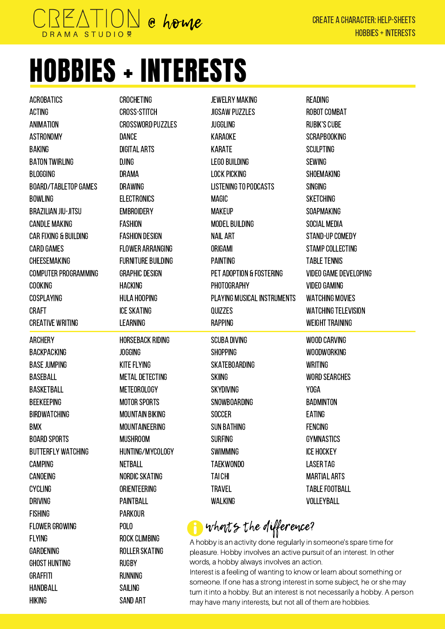

**HANDBALL** Hiking

SAILING Sand art

# HOBBIES + INTERESTS

| ACROBATICS            | <b>CROCHETING</b>         | JEWELRY MAKING                                                       | READING                      |
|-----------------------|---------------------------|----------------------------------------------------------------------|------------------------------|
| ACTING                | <b>CROSS-STITCH</b>       | <b>JIGSAW PUZZLES</b>                                                | ROBOT COMBAT                 |
| ANIMATION             | <b>CROSSWORD PUZZLES</b>  | <b>JUGGLING</b>                                                      | <b>RUBIK'S CUBE</b>          |
| ASTRONOMY             | <b>DANCE</b>              | KARAOKE                                                              | <b>SCRAPBOOKING</b>          |
| BAKING                | DIGITAL ARTS              | KARATE                                                               | <b>SCULPTING</b>             |
| BATON TWIRLING        | <b>DJING</b>              | <b>LEGO BUILDING</b>                                                 | <b>SEWING</b>                |
| BLOGGING              | DRAMA                     | LOCK PICKING                                                         | <b>SHOEMAKING</b>            |
| BOARD/TABLETOP GAMES  | DRAWING                   | <b>LISTENING TO PODCASTS</b>                                         | SINGING                      |
| BOWLING               | <b>ELECTRONICS</b>        | <b>MAGIC</b>                                                         | <b>SKETCHING</b>             |
| BRAZILIAN JIU-JITSU   | <b>EMBROIDERY</b>         | <b>MAKEUP</b>                                                        | SOAPMAKING                   |
| CANDLE MAKING         | <b>FASHION</b>            | <b>MODEL BUILDING</b>                                                | SOCIAL MEDIA                 |
| CAR FIXING & BUILDING | <b>FASHION DESIGN</b>     | <b>NAIL ART</b>                                                      | STAND-UP COMEDY              |
| CARD GAMES            | <b>FLOWER ARRANGING</b>   | ORIGAMI                                                              | <b>STAMP COLLECTING</b>      |
| CHEESEMAKING          | <b>FURNITURE BUILDING</b> | <b>PAINTING</b>                                                      | <b>TABLE TENNIS</b>          |
| COMPUTER PROGRAMMING  | <b>GRAPHIC DESIGN</b>     | PET ADOPTION & FOSTERING                                             | <b>VIDEO GAME DEVELOPING</b> |
| COOKING               | HACKING                   | PHOTOGRAPHY                                                          | <b>VIDEO GAMING</b>          |
| COSPLAYING            | <b>HULA HOOPING</b>       | <b>PLAYING MUSICAL INSTRUMENTS</b>                                   | <b>WATCHING MOVIES</b>       |
| CRAFT                 | <b>ICE SKATING</b>        | QUIZZES                                                              | <b>WATCHING TELEVISION</b>   |
| CREATIVE WRITING      | LEARNING                  | RAPPING                                                              | <b>WEIGHT TRAINING</b>       |
| ARCHERY               | <b>HORSEBACK RIDING</b>   | <b>SCUBA DIVING</b>                                                  | WOOD CARVING                 |
| BACKPACKING           | <b>JOGGING</b>            | <b>SHOPPING</b>                                                      | <b>WOODWORKING</b>           |
| BASE JUMPING          | <b>KITE FLYING</b>        | SKATEBOARDING                                                        | <b>WRITING</b>               |
| BASEBALL              | <b>METAL DETECTING</b>    | <b>SKIING</b>                                                        | <b>WORD SEARCHES</b>         |
| BASKETBALL            | METEOROLOGY               | <b>SKYDIVING</b>                                                     | YOGA                         |
| BEEKEEPING            | <b>MOTOR SPORTS</b>       | SNOWBOARDING                                                         | <b>BADMINTON</b>             |
| BIRDWATCHING          | <b>MOUNTAIN BIKING</b>    | <b>SOCCER</b>                                                        | EATING                       |
| BMX                   | <b>MOUNTAINEERING</b>     | <b>SUN BATHING</b>                                                   | <b>FENCING</b>               |
| BOARD SPORTS          | <b>MUSHROOM</b>           | <b>SURFING</b>                                                       | <b>GYMNASTICS</b>            |
| BUTTERFLY WATCHING    | HUNTING/MYCOLOGY          | <b>SWIMMING</b>                                                      | <b>ICE HOCKEY</b>            |
| CAMPING               | <b>NETBALL</b>            | TAEKWONDO                                                            | <b>LASER TAG</b>             |
| CANOEING              | NORDIC SKATING            | TAI CHI                                                              | MARTIAL ARTS                 |
| CYCLING               | <b>ORIENTEERING</b>       | <b>TRAVEL</b>                                                        | <b>TABLE FOOTBALL</b>        |
| DRIVING               | PAINTBALL                 | WALKING                                                              | VOLLEYBALL                   |
| FISHING               | <b>PARKOUR</b>            |                                                                      |                              |
| FLOWER GROWING        | POLO                      | whats the difference?                                                |                              |
| FLYING                | ROCK CLIMBING             | A hobby is an activity done regularly in someone's spare time for    |                              |
| GARDENING             | ROLLER SKATING            | pleasure. Hobby involves an active pursuit of an interest. In other  |                              |
| GHOST HUNTING         | <b>RUGBY</b>              | words, a hobby always involves an action.                            |                              |
| GRAFFITI              | RUNNING                   | Interest is a feeling of wanting to know or learn about something or |                              |

someone. If one has a strong interest in some subject, he or she may turn it into a hobby. But an interest is not necessarily a hobby. A person may have many interests, but not all of them are hobbies.

CREATE A CHARACTER: Help-sheets

hobbies+interests